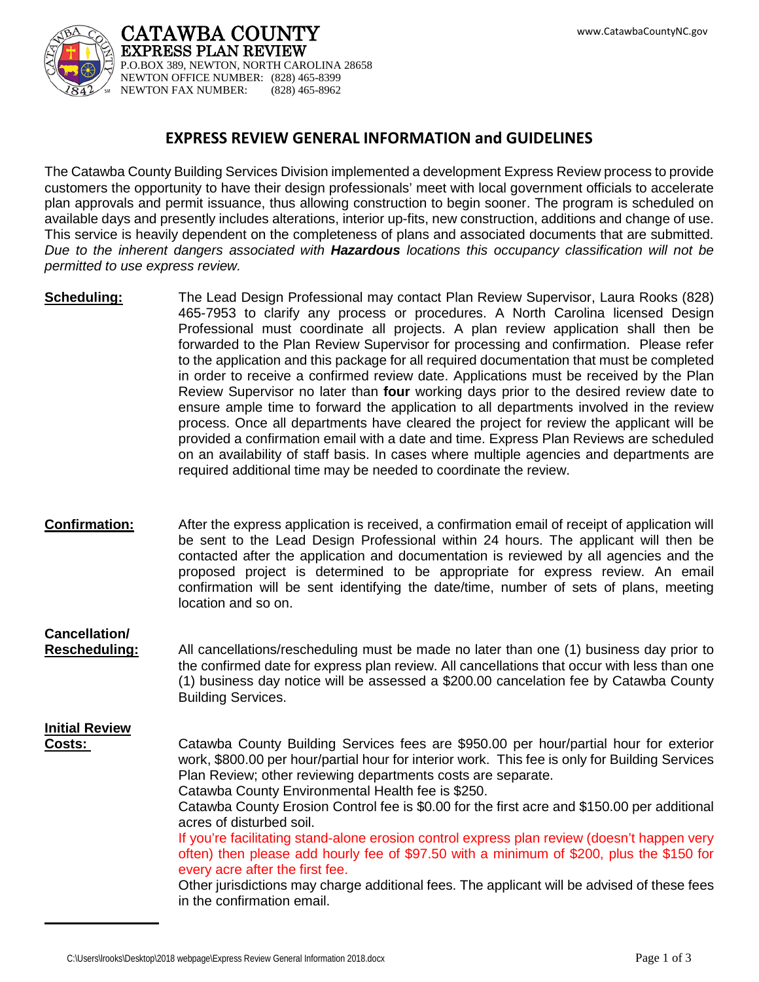

CATAWBA COUNTY EXPRESS PLAN REVIEW P.O.BOX 389, NEWTON, NORTH CAROLINA 28658 NEWTON OFFICE NUMBER: (828) 465-8399 NEWTON FAX NUMBER: (828) 465-8962

## **EXPRESS REVIEW GENERAL INFORMATION and GUIDELINES**

The Catawba County Building Services Division implemented a development Express Review process to provide customers the opportunity to have their design professionals' meet with local government officials to accelerate plan approvals and permit issuance, thus allowing construction to begin sooner. The program is scheduled on available days and presently includes alterations, interior up-fits, new construction, additions and change of use. This service is heavily dependent on the completeness of plans and associated documents that are submitted. *Due to the inherent dangers associated with Hazardous locations this occupancy classification will not be permitted to use express review.*

- **Scheduling:** The Lead Design Professional may contact Plan Review Supervisor, Laura Rooks (828) 465-7953 to clarify any process or procedures. A North Carolina licensed Design Professional must coordinate all projects. A plan review application shall then be forwarded to the Plan Review Supervisor for processing and confirmation. Please refer to the application and this package for all required documentation that must be completed in order to receive a confirmed review date. Applications must be received by the Plan Review Supervisor no later than **four** working days prior to the desired review date to ensure ample time to forward the application to all departments involved in the review process. Once all departments have cleared the project for review the applicant will be provided a confirmation email with a date and time. Express Plan Reviews are scheduled on an availability of staff basis. In cases where multiple agencies and departments are required additional time may be needed to coordinate the review.
- **Confirmation:** After the express application is received, a confirmation email of receipt of application will be sent to the Lead Design Professional within 24 hours. The applicant will then be contacted after the application and documentation is reviewed by all agencies and the proposed project is determined to be appropriate for express review. An email confirmation will be sent identifying the date/time, number of sets of plans, meeting location and so on.

## **Cancellation/**

**Rescheduling:** All cancellations/rescheduling must be made no later than one (1) business day prior to the confirmed date for express plan review. All cancellations that occur with less than one (1) business day notice will be assessed a \$200.00 cancelation fee by Catawba County Building Services.

## **Initial Review**

**Costs:** Catawba County Building Services fees are \$950.00 per hour/partial hour for exterior work, \$800.00 per hour/partial hour for interior work. This fee is only for Building Services Plan Review; other reviewing departments costs are separate. Catawba County Environmental Health fee is \$250.

Catawba County Erosion Control fee is \$0.00 for the first acre and \$150.00 per additional acres of disturbed soil.

If you're facilitating stand-alone erosion control express plan review (doesn't happen very often) then please add hourly fee of \$97.50 with a minimum of \$200, plus the \$150 for every acre after the first fee.

Other jurisdictions may charge additional fees. The applicant will be advised of these fees in the confirmation email.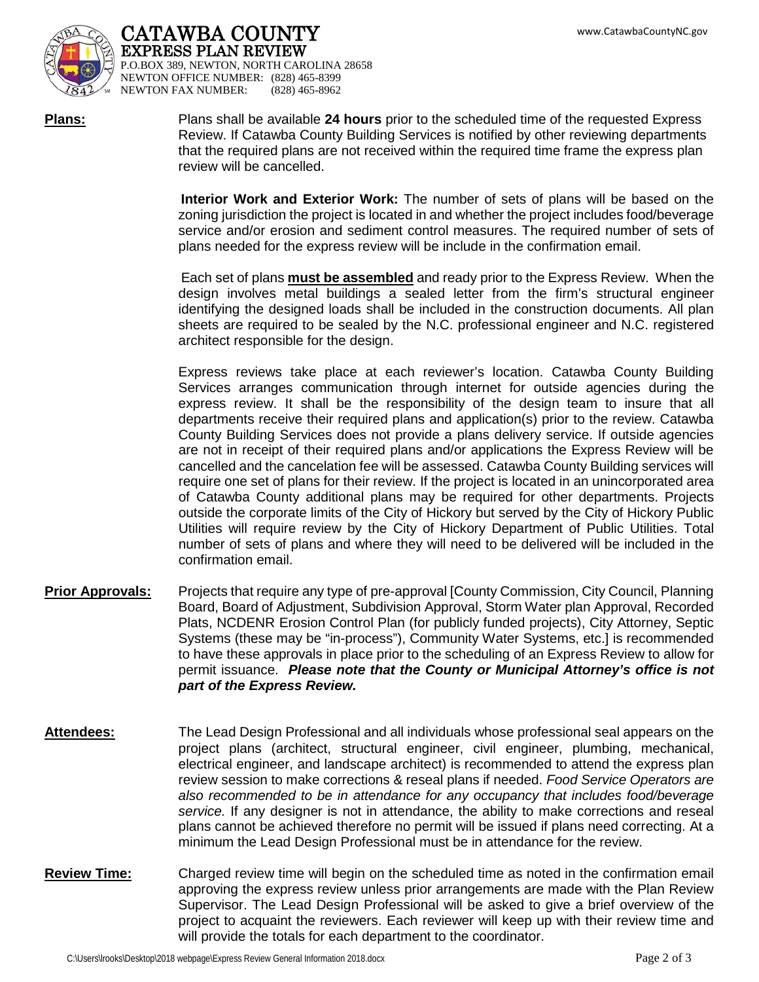

CATAWBA COUNTY EXPRESS PLAN REVIEW P.O.BOX 389, NEWTON, NORTH CAROLINA 28658 NEWTON OFFICE NUMBER: (828) 465-8399<br>NEWTON FAX NUMBER: (828) 465-8962 NEWTON FAX NUMBER:

**Plans:** Plans shall be available **24 hours** prior to the scheduled time of the requested Express Review. If Catawba County Building Services is notified by other reviewing departments that the required plans are not received within the required time frame the express plan review will be cancelled.

> **Interior Work and Exterior Work:** The number of sets of plans will be based on the zoning jurisdiction the project is located in and whether the project includes food/beverage service and/or erosion and sediment control measures. The required number of sets of plans needed for the express review will be include in the confirmation email.

> Each set of plans **must be assembled** and ready prior to the Express Review. When the design involves metal buildings a sealed letter from the firm's structural engineer identifying the designed loads shall be included in the construction documents. All plan sheets are required to be sealed by the N.C. professional engineer and N.C. registered architect responsible for the design.

> Express reviews take place at each reviewer's location. Catawba County Building Services arranges communication through internet for outside agencies during the express review. It shall be the responsibility of the design team to insure that all departments receive their required plans and application(s) prior to the review. Catawba County Building Services does not provide a plans delivery service. If outside agencies are not in receipt of their required plans and/or applications the Express Review will be cancelled and the cancelation fee will be assessed. Catawba County Building services will require one set of plans for their review. If the project is located in an unincorporated area of Catawba County additional plans may be required for other departments. Projects outside the corporate limits of the City of Hickory but served by the City of Hickory Public Utilities will require review by the City of Hickory Department of Public Utilities. Total number of sets of plans and where they will need to be delivered will be included in the confirmation email.

- **Prior Approvals:** Projects that require any type of pre-approval [County Commission, City Council, Planning Board, Board of Adjustment, Subdivision Approval, Storm Water plan Approval, Recorded Plats, NCDENR Erosion Control Plan (for publicly funded projects), City Attorney, Septic Systems (these may be "in-process"), Community Water Systems, etc.] is recommended to have these approvals in place prior to the scheduling of an Express Review to allow for permit issuance. *Please note that the County or Municipal Attorney's office is not part of the Express Review.*
- **Attendees:** The Lead Design Professional and all individuals whose professional seal appears on the project plans (architect, structural engineer, civil engineer, plumbing, mechanical, electrical engineer, and landscape architect) is recommended to attend the express plan review session to make corrections & reseal plans if needed. *Food Service Operators are also recommended to be in attendance for any occupancy that includes food/beverage service.* If any designer is not in attendance, the ability to make corrections and reseal plans cannot be achieved therefore no permit will be issued if plans need correcting. At a minimum the Lead Design Professional must be in attendance for the review.
- **Review Time:** Charged review time will begin on the scheduled time as noted in the confirmation email approving the express review unless prior arrangements are made with the Plan Review Supervisor. The Lead Design Professional will be asked to give a brief overview of the project to acquaint the reviewers. Each reviewer will keep up with their review time and will provide the totals for each department to the coordinator.